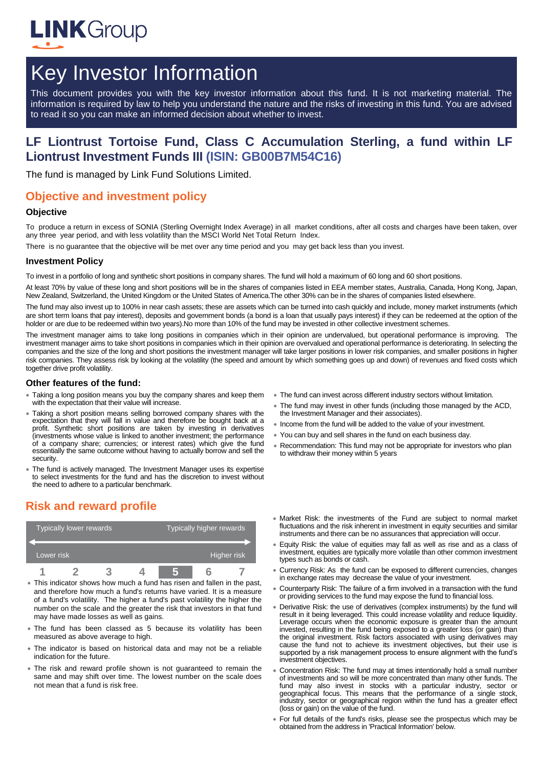

# Key Investor Information

This document provides you with the key investor information about this fund. It is not marketing material. The information is required by law to help you understand the nature and the risks of investing in this fund. You are advised to read it so you can make an informed decision about whether to invest.

## **LF Liontrust Tortoise Fund, Class C Accumulation Sterling, a fund within LF Liontrust Investment Funds III (ISIN: GB00B7M54C16)**

The fund is managed by Link Fund Solutions Limited.

## **Objective and investment policy**

#### **Objective**

To produce a return in excess of SONIA (Sterling Overnight Index Average) in all market conditions, after all costs and charges have been taken, over any three year period, and with less volatility than the MSCI World Net Total Return Index.

There is no guarantee that the objective will be met over any time period and you may get back less than you invest.

#### **Investment Policy**

To invest in a portfolio of long and synthetic short positions in company shares. The fund will hold a maximum of 60 long and 60 short positions.

At least 70% by value of these long and short positions will be in the shares of companies listed in EEA member states, Australia, Canada, Hong Kong, Japan, New Zealand, Switzerland, the United Kingdom or the United States of America.The other 30% can be in the shares of companies listed elsewhere.

The fund may also invest up to 100% in near cash assets; these are assets which can be turned into cash quickly and include, money market instruments (which are short term loans that pay interest), deposits and government bonds (a bond is a loan that usually pays interest) if they can be redeemed at the option of the holder or are due to be redeemed within two years).No more than 10% of the fund may be invested in other collective investment schemes.

The investment manager aims to take long positions in companies which in their opinion are undervalued, but operational performance is improving. The investment manager aims to take short positions in companies which in their opinion are overvalued and operational performance is deteriorating. In selecting the companies and the size of the long and short positions the investment manager will take larger positions in lower risk companies, and smaller positions in higher risk companies. They assess risk by looking at the volatility (the speed and amount by which something goes up and down) of revenues and fixed costs which together drive profit volatility.

#### **Other features of the fund:**

- Taking a long position means you buy the company shares and keep them with the expectation that their value will increase.
- Taking a short position means selling borrowed company shares with the expectation that they will fall in value and therefore be bought back at a profit. Synthetic short positions are taken by investing in derivatives (investments whose value is linked to another investment; the performance of a company share; currencies; or interest rates) which give the fund essentially the same outcome without having to actually borrow and sell the security.
- The fund is actively managed. The Investment Manager uses its expertise to select investments for the fund and has the discretion to invest without the need to adhere to a particular benchmark.
- The fund can invest across different industry sectors without limitation.
- The fund may invest in other funds (including those managed by the ACD, the Investment Manager and their associates).
- Income from the fund will be added to the value of your investment.
- You can buy and sell shares in the fund on each business day.
- Recommendation: This fund may not be appropriate for investors who plan to withdraw their money within 5 years

## **Risk and reward profile**

| Typically lower rewards <sup>1</sup> |  |  |  | Typically higher rewards |  |  |  |
|--------------------------------------|--|--|--|--------------------------|--|--|--|
| Lower risk                           |  |  |  | Higher risk              |  |  |  |
| п                                    |  |  |  |                          |  |  |  |

- This indicator shows how much a fund has risen and fallen in the past, and therefore how much a fund's returns have varied. It is a measure of a fund's volatility. The higher a fund's past volatility the higher the number on the scale and the greater the risk that investors in that fund may have made losses as well as gains.
- The fund has been classed as 5 because its volatility has been measured as above average to high.
- The indicator is based on historical data and may not be a reliable indication for the future.
- The risk and reward profile shown is not guaranteed to remain the same and may shift over time. The lowest number on the scale does not mean that a fund is risk free.
- Market Risk: the investments of the Fund are subject to normal market fluctuations and the risk inherent in investment in equity securities and similar instruments and there can be no assurances that appreciation will occur.
- Equity Risk: the value of equities may fall as well as rise and as a class of investment, equities are typically more volatile than other common investment types such as bonds or cash.
- Currency Risk: As the fund can be exposed to different currencies, changes in exchange rates may decrease the value of your investment.
- Counterparty Risk: The failure of a firm involved in a transaction with the fund or providing services to the fund may expose the fund to financial loss.
- Derivative Risk: the use of derivatives (complex instruments) by the fund will result in it being leveraged. This could increase volatility and reduce liquidity. Leverage occurs when the economic exposure is greater than the amount invested, resulting in the fund being exposed to a greater loss (or gain) than the original investment. Risk factors associated with using derivatives may cause the fund not to achieve its investment objectives, but their use is supported by a risk management process to ensure alignment with the fund's investment objectives.
- Concentration Risk: The fund may at times intentionally hold a small number of investments and so will be more concentrated than many other funds. The fund may also invest in stocks with a particular industry, sector or geographical focus. This means that the performance of a single stock, industry, sector or geographical region within the fund has a greater effect (loss or gain) on the value of the fund.
- For full details of the fund's risks, please see the prospectus which may be obtained from the address in 'Practical Information' below.